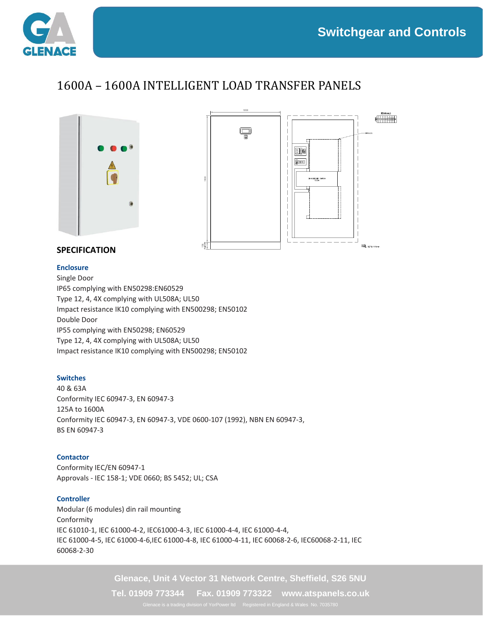

## 1600A – 1600A INTELLIGENT LOAD TRANSFER PANELS





### **SPECIFICATION**

#### **Enclosure**

Single Door IP65 complying with EN50298:EN60529 Type 12, 4, 4X complying with UL508A; UL50 Impact resistance IK10 complying with EN500298; EN50102 Double Door IP55 complying with EN50298; EN60529 Type 12, 4, 4X complying with UL508A; UL50 Impact resistance IK10 complying with EN500298; EN50102

#### **Switches**

40 & 63A Conformity IEC 60947-3, EN 60947-3 125A to 1600A Conformity IEC 60947-3, EN 60947-3, VDE 0600-107 (1992), NBN EN 60947-3, BS EN 60947-3

#### **Contactor**

Conformity IEC/EN 60947-1 Approvals - IEC 158-1; VDE 0660; BS 5452; UL; CSA

#### **Controller**

Modular (6 modules) din rail mounting Conformity IEC 61010-1, IEC 61000-4-2, IEC61000-4-3, IEC 61000-4-4, IEC 61000-4-4, IEC 61000-4-5, IEC 61000-4-6,IEC 61000-4-8, IEC 61000-4-11, IEC 60068-2-6, IEC60068-2-11, IEC 60068-2-30

**Glenace, Unit 4 Vector 31 Network Centre, Sheffield, S26 5NU**

**Tel. 01909 773344 Fax. 01909 773322 www.atspanels.co.uk**